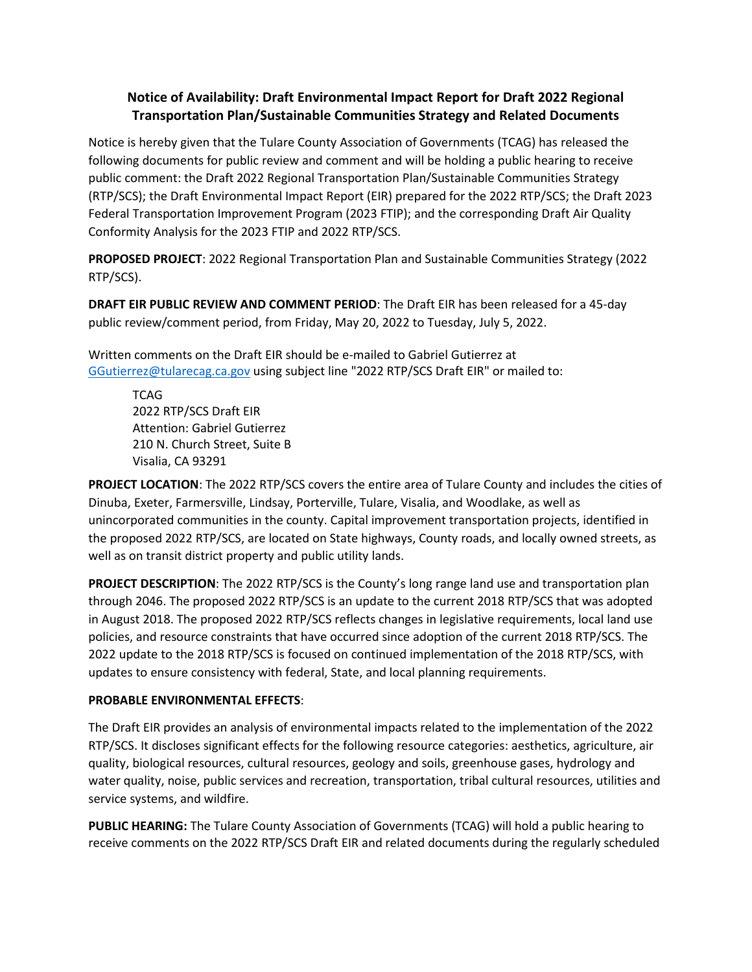## **Notice of Availability: Draft Environmental Impact Report for Draft 2022 Regional Transportation Plan/Sustainable Communities Strategy and Related Documents**

Notice is hereby given that the Tulare County Association of Governments (TCAG) has released the following documents for public review and comment and will be holding a public hearing to receive public comment: the Draft 2022 Regional Transportation Plan/Sustainable Communities Strategy (RTP/SCS); the Draft Environmental Impact Report (EIR) prepared for the 2022 RTP/SCS; the Draft 2023 Federal Transportation Improvement Program (2023 FTIP); and the corresponding Draft Air Quality Conformity Analysis for the 2023 FTIP and 2022 RTP/SCS.

**PROPOSED PROJECT**: 2022 Regional Transportation Plan and Sustainable Communities Strategy (2022 RTP/SCS).

**DRAFT EIR PUBLIC REVIEW AND COMMENT PERIOD**: The Draft EIR has been released for a 45-day public review/comment period, from Friday, May 20, 2022 to Tuesday, July 5, 2022.

Written comments on the Draft EIR should be e-mailed to Gabriel Gutierrez at [GGutierrez@tularecag.ca.gov](mailto:GGutierrez@tularecag.ca.gov) using subject line "2022 RTP/SCS Draft EIR" or mailed to:

**TCAG** 2022 RTP/SCS Draft EIR Attention: Gabriel Gutierrez 210 N. Church Street, Suite B Visalia, CA 93291

**PROJECT LOCATION**: The 2022 RTP/SCS covers the entire area of Tulare County and includes the cities of Dinuba, Exeter, Farmersville, Lindsay, Porterville, Tulare, Visalia, and Woodlake, as well as unincorporated communities in the county. Capital improvement transportation projects, identified in the proposed 2022 RTP/SCS, are located on State highways, County roads, and locally owned streets, as well as on transit district property and public utility lands.

**PROJECT DESCRIPTION**: The 2022 RTP/SCS is the County's long range land use and transportation plan through 2046. The proposed 2022 RTP/SCS is an update to the current 2018 RTP/SCS that was adopted in August 2018. The proposed 2022 RTP/SCS reflects changes in legislative requirements, local land use policies, and resource constraints that have occurred since adoption of the current 2018 RTP/SCS. The 2022 update to the 2018 RTP/SCS is focused on continued implementation of the 2018 RTP/SCS, with updates to ensure consistency with federal, State, and local planning requirements.

## **PROBABLE ENVIRONMENTAL EFFECTS**:

The Draft EIR provides an analysis of environmental impacts related to the implementation of the 2022 RTP/SCS. It discloses significant effects for the following resource categories: aesthetics, agriculture, air quality, biological resources, cultural resources, geology and soils, greenhouse gases, hydrology and water quality, noise, public services and recreation, transportation, tribal cultural resources, utilities and service systems, and wildfire.

**PUBLIC HEARING:** The Tulare County Association of Governments (TCAG) will hold a public hearing to receive comments on the 2022 RTP/SCS Draft EIR and related documents during the regularly scheduled